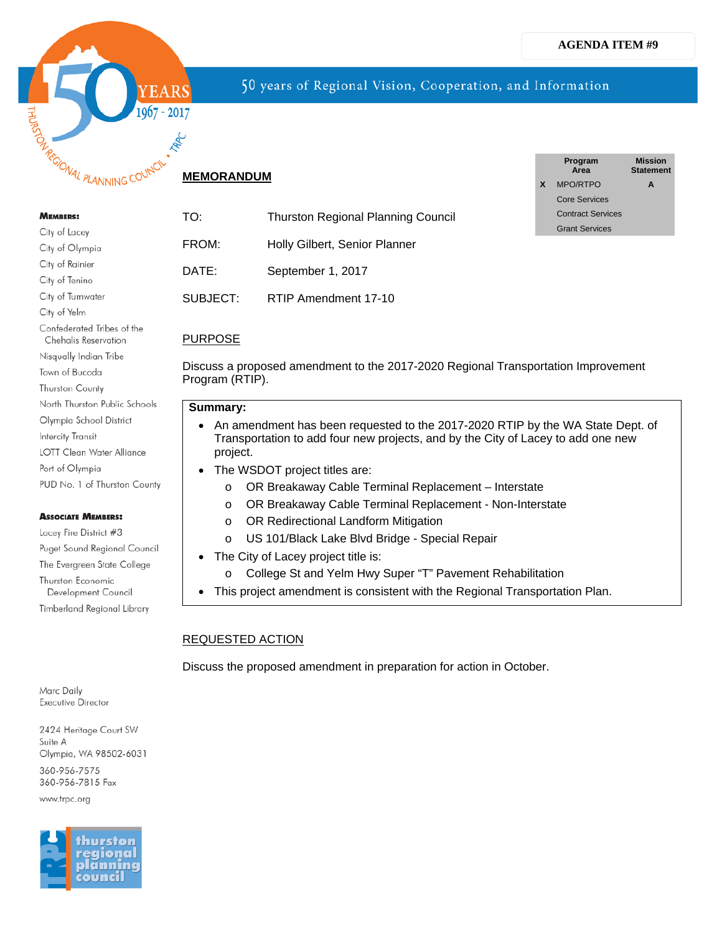

## **MEMORANDUM**

#### **MEMBERS:**

| City of Lacey                                             |
|-----------------------------------------------------------|
| City of Olympia                                           |
| City of Rainier                                           |
| City of Tenino                                            |
| City of Tumwater                                          |
| City of Yelm                                              |
| Confederated Tribes of the<br><b>Chehalis Reservation</b> |
| Nisqually Indian Tribe                                    |
| Town of Bucoda                                            |
| <b>Thurston County</b>                                    |
| North Thurston Public Schools                             |
| Olympia School District                                   |
| Intercity Transit                                         |
| LOTT Clean Water Alliance                                 |
| Port of Olympia                                           |
| PUD No. 1 of Thurston County                              |

#### **ASSOCIATE MEMBERS:**

Lacey Fire District #3 Puget Sound Regional Council The Evergreen State College Thurston Economic Development Council Timberland Regional Library

Marc Daily **Executive Director** 

2424 Heritage Court SW Suite A Olympia, WA 98502-6031 360-956-7575 360-956-7815 Fax www.trpc.org

hurstor gional lanning :ouncil

# TO: Thurston Regional Planning Council FROM: Holly Gilbert, Senior Planner DATE: September 1, 2017 SUBJECT: RTIP Amendment 17-10

|   | Program<br>Area          | <b>Mission</b><br><b>Statement</b> |
|---|--------------------------|------------------------------------|
| X | MPO/RTPO                 | A                                  |
|   | Core Services            |                                    |
|   | <b>Contract Services</b> |                                    |
|   | <b>Grant Services</b>    |                                    |
|   |                          |                                    |

## PURPOSE

Discuss a proposed amendment to the 2017-2020 Regional Transportation Improvement Program (RTIP).

50 years of Regional Vision, Cooperation, and Information

### **Summary:**

- An amendment has been requested to the 2017-2020 RTIP by the WA State Dept. of Transportation to add four new projects, and by the City of Lacey to add one new project.
	- The WSDOT project titles are:
		- o OR Breakaway Cable Terminal Replacement Interstate
		- o OR Breakaway Cable Terminal Replacement Non-Interstate
		- o OR Redirectional Landform Mitigation
		- o US 101/Black Lake Blvd Bridge Special Repair
	- The City of Lacey project title is:
		- o College St and Yelm Hwy Super "T" Pavement Rehabilitation
- This project amendment is consistent with the Regional Transportation Plan.

## REQUESTED ACTION

Discuss the proposed amendment in preparation for action in October.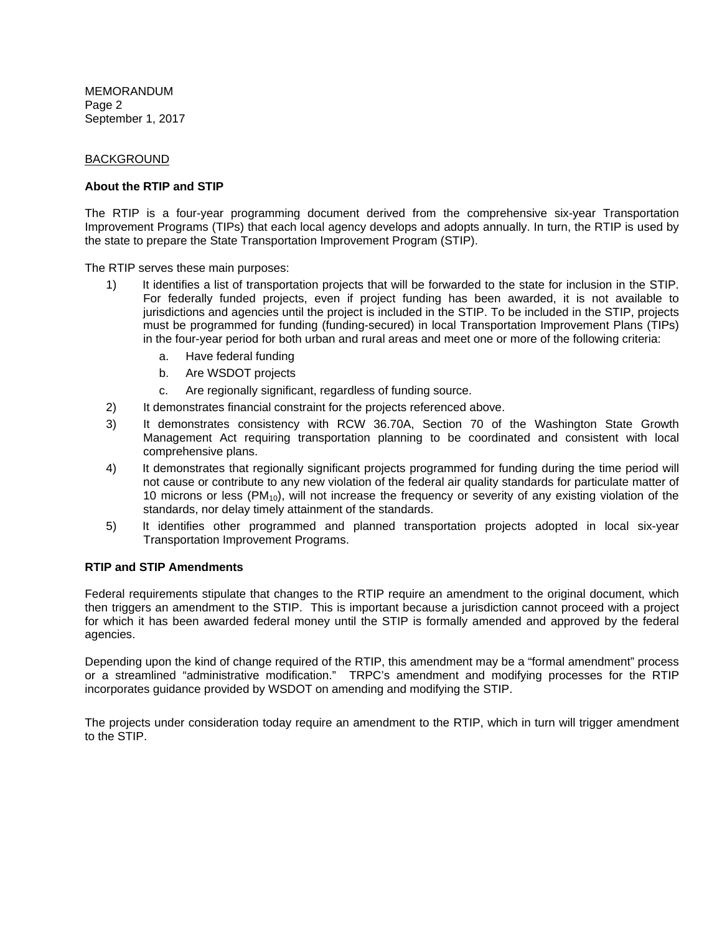MEMORANDUM Page 2 September 1, 2017

#### BACKGROUND

#### **About the RTIP and STIP**

The RTIP is a four-year programming document derived from the comprehensive six-year Transportation Improvement Programs (TIPs) that each local agency develops and adopts annually. In turn, the RTIP is used by the state to prepare the State Transportation Improvement Program (STIP).

The RTIP serves these main purposes:

- 1) It identifies a list of transportation projects that will be forwarded to the state for inclusion in the STIP. For federally funded projects, even if project funding has been awarded, it is not available to jurisdictions and agencies until the project is included in the STIP. To be included in the STIP, projects must be programmed for funding (funding-secured) in local Transportation Improvement Plans (TIPs) in the four-year period for both urban and rural areas and meet one or more of the following criteria:
	- a. Have federal funding
	- b. Are WSDOT projects
	- c. Are regionally significant, regardless of funding source.
- 2) It demonstrates financial constraint for the projects referenced above.
- 3) It demonstrates consistency with RCW 36.70A, Section 70 of the Washington State Growth Management Act requiring transportation planning to be coordinated and consistent with local comprehensive plans.
- 4) It demonstrates that regionally significant projects programmed for funding during the time period will not cause or contribute to any new violation of the federal air quality standards for particulate matter of 10 microns or less (PM10), will not increase the frequency or severity of any existing violation of the standards, nor delay timely attainment of the standards.
- 5) It identifies other programmed and planned transportation projects adopted in local six-year Transportation Improvement Programs.

### **RTIP and STIP Amendments**

Federal requirements stipulate that changes to the RTIP require an amendment to the original document, which then triggers an amendment to the STIP. This is important because a jurisdiction cannot proceed with a project for which it has been awarded federal money until the STIP is formally amended and approved by the federal agencies.

Depending upon the kind of change required of the RTIP, this amendment may be a "formal amendment" process or a streamlined "administrative modification." TRPC's amendment and modifying processes for the RTIP incorporates guidance provided by WSDOT on amending and modifying the STIP.

The projects under consideration today require an amendment to the RTIP, which in turn will trigger amendment to the STIP.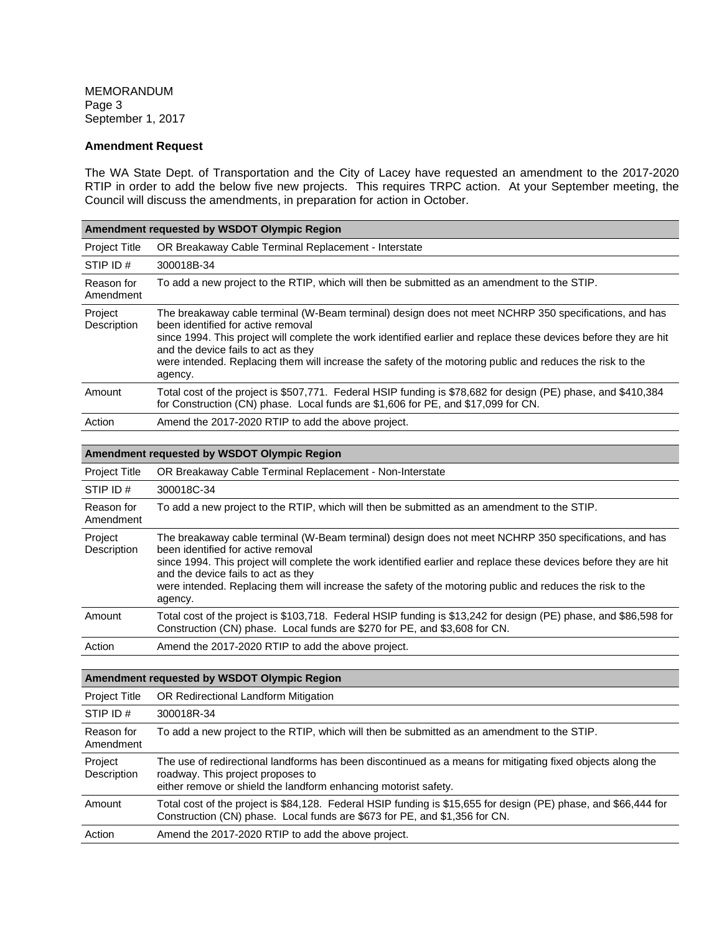MEMORANDUM Page 3 September 1, 2017

#### **Amendment Request**

The WA State Dept. of Transportation and the City of Lacey have requested an amendment to the 2017-2020 RTIP in order to add the below five new projects. This requires TRPC action. At your September meeting, the Council will discuss the amendments, in preparation for action in October.

| Amendment requested by WSDOT Olympic Region |                                                                                                                                                                                                                                                                                                                                                                                                                                |  |
|---------------------------------------------|--------------------------------------------------------------------------------------------------------------------------------------------------------------------------------------------------------------------------------------------------------------------------------------------------------------------------------------------------------------------------------------------------------------------------------|--|
| <b>Project Title</b>                        | OR Breakaway Cable Terminal Replacement - Interstate                                                                                                                                                                                                                                                                                                                                                                           |  |
| STIP ID#                                    | 300018B-34                                                                                                                                                                                                                                                                                                                                                                                                                     |  |
| Reason for<br>Amendment                     | To add a new project to the RTIP, which will then be submitted as an amendment to the STIP.                                                                                                                                                                                                                                                                                                                                    |  |
| Project<br>Description                      | The breakaway cable terminal (W-Beam terminal) design does not meet NCHRP 350 specifications, and has<br>been identified for active removal<br>since 1994. This project will complete the work identified earlier and replace these devices before they are hit<br>and the device fails to act as they<br>were intended. Replacing them will increase the safety of the motoring public and reduces the risk to the<br>agency. |  |
| Amount                                      | Total cost of the project is \$507,771. Federal HSIP funding is \$78,682 for design (PE) phase, and \$410,384<br>for Construction (CN) phase. Local funds are \$1,606 for PE, and \$17,099 for CN.                                                                                                                                                                                                                             |  |
| Action                                      | Amend the 2017-2020 RTIP to add the above project.                                                                                                                                                                                                                                                                                                                                                                             |  |

#### **Amendment requested by WSDOT Olympic Region**

| <b>Project Title</b>    | OR Breakaway Cable Terminal Replacement - Non-Interstate                                                                                                                                                                                                                                                                                                                                                                       |
|-------------------------|--------------------------------------------------------------------------------------------------------------------------------------------------------------------------------------------------------------------------------------------------------------------------------------------------------------------------------------------------------------------------------------------------------------------------------|
| STIP ID#                | 300018C-34                                                                                                                                                                                                                                                                                                                                                                                                                     |
| Reason for<br>Amendment | To add a new project to the RTIP, which will then be submitted as an amendment to the STIP.                                                                                                                                                                                                                                                                                                                                    |
| Project<br>Description  | The breakaway cable terminal (W-Beam terminal) design does not meet NCHRP 350 specifications, and has<br>been identified for active removal<br>since 1994. This project will complete the work identified earlier and replace these devices before they are hit<br>and the device fails to act as they<br>were intended. Replacing them will increase the safety of the motoring public and reduces the risk to the<br>agency. |
| Amount                  | Total cost of the project is \$103,718. Federal HSIP funding is \$13,242 for design (PE) phase, and \$86,598 for<br>Construction (CN) phase. Local funds are \$270 for PE, and \$3,608 for CN.                                                                                                                                                                                                                                 |
| Action                  | Amend the 2017-2020 RTIP to add the above project.                                                                                                                                                                                                                                                                                                                                                                             |

### **Amendment requested by WSDOT Olympic Region**

| Project Title           | OR Redirectional Landform Mitigation                                                                                                                                                                               |
|-------------------------|--------------------------------------------------------------------------------------------------------------------------------------------------------------------------------------------------------------------|
| STIP ID#                | 300018R-34                                                                                                                                                                                                         |
| Reason for<br>Amendment | To add a new project to the RTIP, which will then be submitted as an amendment to the STIP.                                                                                                                        |
| Project<br>Description  | The use of redirectional landforms has been discontinued as a means for mitigating fixed objects along the<br>roadway. This project proposes to<br>either remove or shield the landform enhancing motorist safety. |
| Amount                  | Total cost of the project is \$84,128. Federal HSIP funding is \$15,655 for design (PE) phase, and \$66,444 for<br>Construction (CN) phase. Local funds are \$673 for PE, and \$1,356 for CN.                      |
| Action                  | Amend the 2017-2020 RTIP to add the above project.                                                                                                                                                                 |